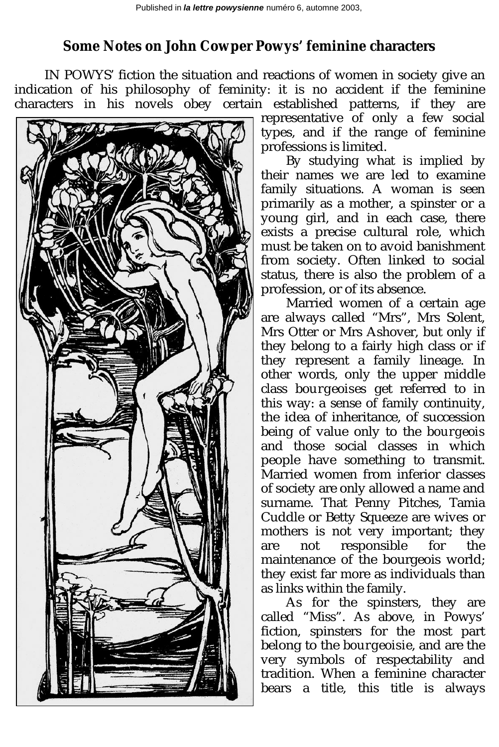## **Some Notes on John Cowper Powys' feminine characters**

IN POWYS' fiction the situation and reactions of women in society give an indication of his philosophy of feminity: it is no accident if the feminine characters in his novels obey certain established patterns, if they are



representative of only a few social types, and if the range of feminine professions is limited.

By studying what is implied by their names we are led to examine family situations. A woman is seen primarily as a mother, a spinster or a young girl, and in each case, there exists a precise cultural role, which must be taken on to avoid banishment from society. Often linked to social status, there is also the problem of a profession, or of its absence.

Married women of a certain age are always called "Mrs", Mrs Solent, Mrs Otter or Mrs Ashover, but only if they belong to a fairly high class or if they represent a family lineage. In other words, only the upper middle class *bourgeoises* get referred to in this way: a sense of family continuity, the idea of inheritance, of succession being of value only to the *bourgeois* and those social classes in which people have something to transmit. Married women from inferior classes of society are only allowed a name and surname. That Penny Pitches, Tamia Cuddle or Betty Squeeze are wives or mothers is not very important; they are not responsible for the maintenance of the bourgeois world; they exist far more as individuals than as links within the family.

As for the spinsters, they are called "Miss". As above, in Powys' fiction, spinsters for the most part belong to the *bourgeoisie*, and are the very symbols of respectability and tradition. When a feminine character bears a title, this title is always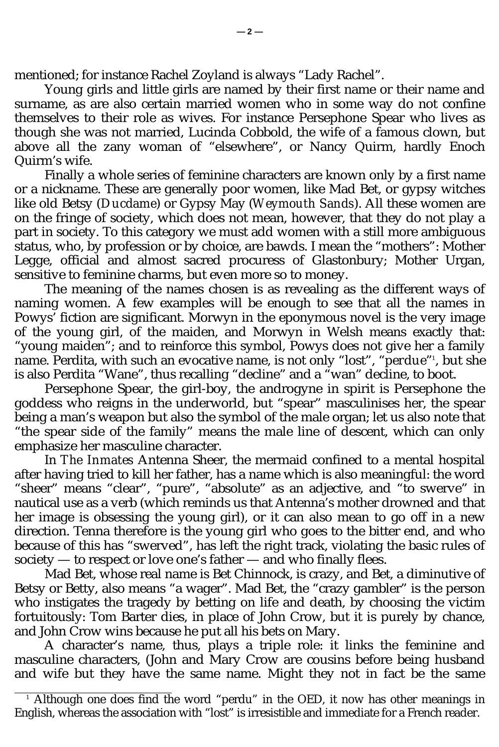mentioned; for instance Rachel Zoyland is always "Lady Rachel".

Young girls and little girls are named by their first name or their name and surname, as are also certain married women who in some way do not confine themselves to their role as wives. For instance Persephone Spear who lives as though she was not married, Lucinda Cobbold, the wife of a famous clown, but above all the zany woman of "elsewhere", or Nancy Quirm, hardly Enoch Quirm's wife.

Finally a whole series of feminine characters are known only by a first name or a nickname. These are generally poor women, like Mad Bet, or gypsy witches like old Betsy (*Ducdame*) or Gypsy May (*Weymouth Sands*). All these women are on the fringe of society, which does not mean, however, that they do not play a part in society. To this category we must add women with a still more ambiguous status, who, by profession or by choice, are bawds. I mean the "mothers": Mother Legge, official and almost sacred procuress of Glastonbury; Mother Urgan, sensitive to feminine charms, but even more so to money.

The meaning of the names chosen is as revealing as the different ways of naming women. A few examples will be enough to see that all the names in Powys' fiction are significant. Morwyn in the eponymous novel is the very image of the young girl, of the maiden, and Morwyn in Welsh means exactly that: "young maiden"; and to reinforce this symbol, Powys does not give her a family name. Perdita, with such an evocative name, is not only "lost", "*perdue*"<sup>1</sup>, but she is also Perdita "Wane", thus recalling "decline" and a "wan" decline, to boot.

Persephone Spear, the girl-boy, the androgyne in spirit is Persephone the goddess who reigns in the underworld, but "spear" masculinises her, the spear being a man's weapon but also the symbol of the male organ; let us also note that "the spear side of the family" means the male line of descent, which can only emphasize her masculine character.

In *The Inmates* Antenna Sheer, the mermaid confined to a mental hospital after having tried to kill her father, has a name which is also meaningful: the word "sheer" means "clear", "pure", "absolute" as an adjective, and "to swerve" in nautical use as a verb (which reminds us that Antenna's mother drowned and that her image is obsessing the young girl), or it can also mean to go off in a new direction. Tenna therefore is the young girl who goes to the bitter end, and who because of this has "swerved", has left the right track, violating the basic rules of society — to respect or love one's father — and who finally flees.

Mad Bet, whose real name is Bet Chinnock, is crazy, and Bet, a diminutive of Betsy or Betty, also means "a wager". Mad Bet, the "crazy gambler" is the person who instigates the tragedy by betting on life and death, by choosing the victim fortuitously: Tom Barter dies, in place of John Crow, but it is purely by chance, and John Crow wins because he put all his bets on Mary.

A character's name, thus, plays a triple role: it links the feminine and masculine characters, (John and Mary Crow are cousins before being husband and wife but they have the same name. Might they not in fact be the same

<sup>1</sup> Although one does find the word "perdu" in the OED, it now has other meanings in English, whereas the association with "lost" is irresistible and immediate for a French reader.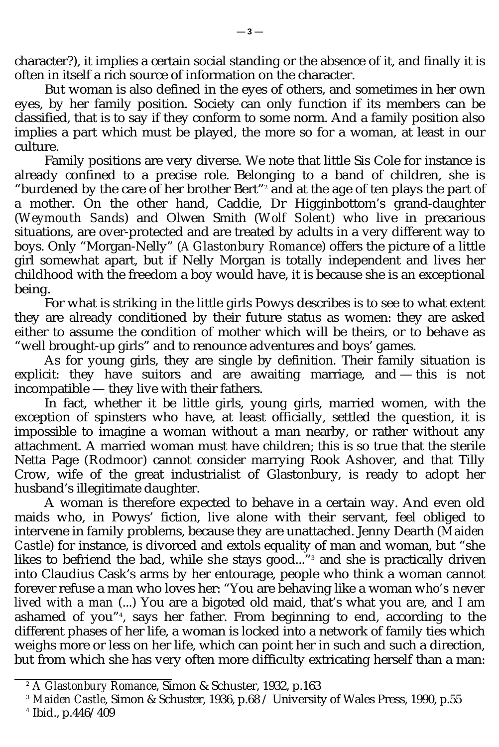character?), it implies a certain social standing or the absence of it, and finally it is often in itself a rich source of information on the character.

But woman is also defined in the eyes of others, and sometimes in her own eyes, by her family position. Society can only function if its members can be classified, that is to say if they conform to some norm. And a family position also implies a part which must be played, the more so for a woman, at least in our culture.

Family positions are very diverse. We note that little Sis Cole for instance is already confined to a precise role. Belonging to a band of children, she is "burdened by the care of her brother Bert"<sup>2</sup> and at the age of ten plays the part of a mother. On the other hand, Caddie, Dr Higginbottom's grand-daughter (*Weymouth Sands*) and Olwen Smith (*Wolf Solent*) who live in precarious situations, are over-protected and are treated by adults in a very different way to boys. Only "Morgan-Nelly" (*A Glastonbury Romance*) offers the picture of a little girl somewhat apart, but if Nelly Morgan is totally independent and lives her childhood with the freedom a boy would have, it is because she is an exceptional being.

For what is striking in the little girls Powys describes is to see to what extent they are already conditioned by their future status as women: they are asked either to assume the condition of mother which will be theirs, or to behave as "well brought-up girls" and to renounce adventures and boys' games.

As for young girls, they are single by definition. Their family situation is explicit: they have suitors and are awaiting marriage, and — this is not incompatible — they live with their fathers.

In fact, whether it be little girls, young girls, married women, with the exception of spinsters who have, at least officially, settled the question, it is impossible to imagine a woman without a man nearby, or rather without any attachment. A married woman must have children; this is so true that the sterile Netta Page (*Rodmoor*) cannot consider marrying Rook Ashover, and that Tilly Crow, wife of the great industrialist of Glastonbury, is ready to adopt her husband's illegitimate daughter.

A woman is therefore expected to behave in a certain way. And even old maids who, in Powys' fiction, live alone with their servant, feel obliged to intervene in family problems, because they are unattached. Jenny Dearth (*Maiden Castle*) for instance, is divorced and extols equality of man and woman, but "she likes to befriend the bad, while *she* stays good..."<sup>3</sup> and she is practically driven into Claudius Cask's arms by her entourage, people who think a woman cannot forever refuse a man who loves her: "You are behaving like a woman *who's never lived with a man* (...) You are a bigoted old maid, that's what you are, and I am ashamed of you"<sup>4</sup> , says her father. From beginning to end, according to the different phases of her life, a woman is locked into a network of family ties which weighs more or less on her life, which can point her in such and such a direction, but from which she has very often more difficulty extricating herself than a man:

<sup>2</sup> *A Glastonbury Romance*, Simon & Schuster, 1932, p.163

<sup>3</sup> *Maiden Castle*, Simon & Schuster, 1936, p.68 / University of Wales Press, 1990, p.55

<sup>4</sup> Ibid., p.446/409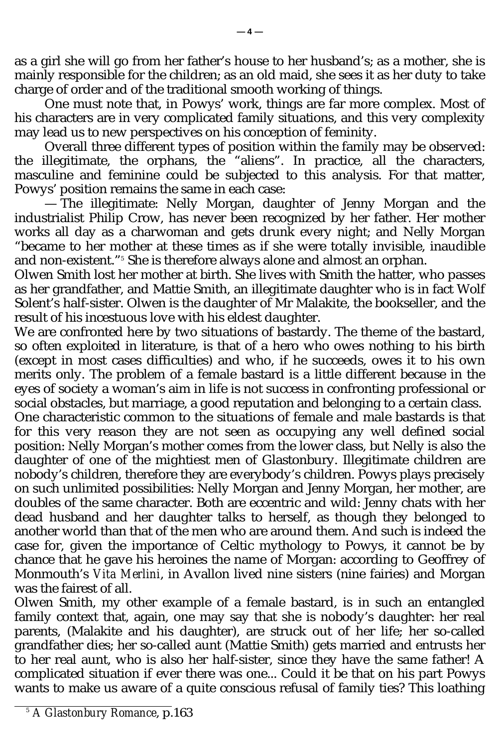as a girl she will go from her father's house to her husband's; as a mother, she is mainly responsible for the children; as an old maid, she sees it as her duty to take charge of order and of the traditional smooth working of things.

One must note that, in Powys' work, things are far more complex. Most of his characters are in very complicated family situations, and this very complexity may lead us to new perspectives on his conception of feminity.

Overall three different types of position within the family may be observed: the illegitimate, the orphans, the "aliens". In practice, all the characters, masculine and feminine could be subjected to this analysis. For that matter, Powys' position remains the same in each case:

— The illegitimate: Nelly Morgan, daughter of Jenny Morgan and the industrialist Philip Crow, has never been recognized by her father. Her mother works all day as a charwoman and gets drunk every night; and Nelly Morgan "became to her mother at these times as if she were totally invisible, inaudible and non-existent."<sup>5</sup> She is therefore always alone and almost an orphan.

Olwen Smith lost her mother at birth. She lives with Smith the hatter, who passes as her grandfather, and Mattie Smith, an illegitimate daughter who is in fact Wolf Solent's half-sister. Olwen is the daughter of Mr Malakite, the bookseller, and the result of his incestuous love with his eldest daughter.

We are confronted here by two situations of bastardy. The theme of the bastard, so often exploited in literature, is that of a hero who owes nothing to his birth (except in most cases difficulties) and who, if he succeeds, owes it to his own merits only. The problem of a female bastard is a little different because in the eyes of society a woman's aim in life is not success in confronting professional or social obstacles, but marriage, a good reputation and belonging to a certain class.

One characteristic common to the situations of female and male bastards is that for this very reason they are not seen as occupying any well defined social position: Nelly Morgan's mother comes from the lower class, but Nelly is also the daughter of one of the mightiest men of Glastonbury. Illegitimate children are nobody's children, therefore they are everybody's children. Powys plays precisely on such unlimited possibilities: Nelly Morgan and Jenny Morgan, her mother, are doubles of the same character. Both are eccentric and wild: Jenny chats with her dead husband and her daughter talks to herself, as though they belonged to another world than that of the men who are around them. And such is indeed the case for, given the importance of Celtic mythology to Powys, it cannot be by chance that he gave his heroines the name of Morgan: according to Geoffrey of Monmouth's *Vita Merlini*, in Avallon lived nine sisters (nine fairies) and Morgan was the fairest of all.

Olwen Smith, my other example of a female bastard, is in such an entangled family context that, again, one may say that she is nobody's daughter: her real parents, (Malakite and his daughter), are struck out of her life; her so-called grandfather dies; her so-called aunt (Mattie Smith) gets married and entrusts her to her real aunt, who is also her half-sister, since they have the same father! A complicated situation if ever there was one... Could it be that on his part Powys wants to make us aware of a quite conscious refusal of family ties? This loathing

<sup>5</sup> *A Glastonbury Romance*, p.163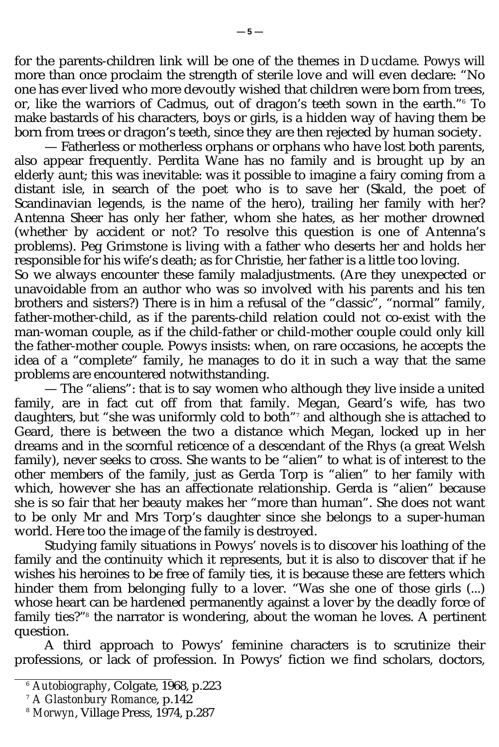for the parents-children link will be one of the themes in *Ducdame*. Powys will more than once proclaim the strength of sterile love and will even declare: "No one has ever lived who more devoutly wished that children were born from trees, or, like the warriors of Cadmus, out of dragon's teeth sown in the earth."<sup>6</sup> To make bastards of his characters, boys or girls, is a hidden way of having them be born from trees or dragon's teeth, since they are then rejected by human society.

— Fatherless or motherless orphans or orphans who have lost both parents, also appear frequently. Perdita Wane has no family and is brought up by an elderly aunt; this was inevitable: was it possible to imagine a fairy coming from a distant isle, in search of the poet who is to save her (Skald, the poet of Scandinavian legends, is the name of the hero), trailing her family with her? Antenna Sheer has only her father, whom she hates, as her mother drowned (whether by accident or not? To resolve this question is one of Antenna's problems). Peg Grimstone is living with a father who deserts her and holds her responsible for his wife's death; as for Christie, her father is a little *too* loving.

So we always encounter these family maladjustments. (Are they unexpected or unavoidable from an author who was so involved with his parents and his ten brothers and sisters?) There is in him a refusal of the "classic", "normal" family, father-mother-child, as if the parents-child relation could not co-exist with the man-woman couple, as if the child-father or child-mother couple could only kill the father-mother couple. Powys insists: when, on rare occasions, he accepts the idea of a "complete" family, he manages to do it in such a way that the same problems are encountered notwithstanding.

— The "aliens": that is to say women who although they live inside a united family, are in fact cut off from that family. Megan, Geard's wife, has two daughters, but "she was uniformly cold to both"<sup>7</sup> and although she is attached to Geard, there is between the two a distance which Megan, locked up in her dreams and in the scornful reticence of a descendant of the Rhys (a great Welsh family), never seeks to cross. She wants to be "alien" to what is of interest to the other members of the family, just as Gerda Torp is "alien" to her family with which, however she has an affectionate relationship. Gerda is "alien" because she is so fair that her beauty makes her "more than human". She does not want to be only Mr and Mrs Torp's daughter since she belongs to a super-human world. Here too the image of the family is destroyed.

Studying family situations in Powys' novels is to discover his loathing of the family and the continuity which it represents, but it is also to discover that if he wishes his heroines to be free of family ties, it is because these are fetters which hinder them from belonging fully to a lover. "Was she one of those girls (...) whose heart can be hardened permanently against a lover by the deadly force of family ties?"<sup>8</sup> the narrator is wondering, about the woman he loves. A pertinent question.

A third approach to Powys' feminine characters is to scrutinize their professions, or lack of profession. In Powys' fiction we find scholars, doctors,

<sup>6</sup> *Autobiography*, Colgate, 1968, p.223

<sup>7</sup> *A Glastonbury Romance*, p.142

<sup>8</sup> *Morwyn*, Village Press, 1974, p.287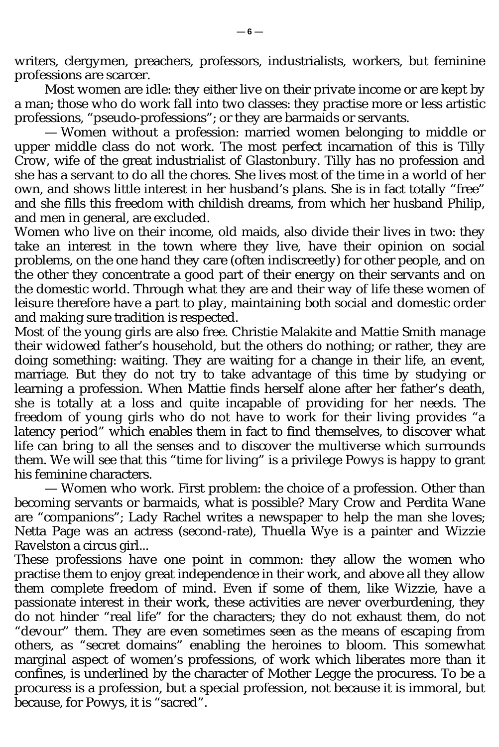writers, clergymen, preachers, professors, industrialists, workers, but feminine professions are scarcer.

Most women are idle: they either live on their private income or are kept by a man; those who do work fall into two classes: they practise more or less artistic professions, "pseudo-professions"; or they are barmaids or servants.

— Women without a profession: married women belonging to middle or upper middle class do not work. The most perfect incarnation of this is Tilly Crow, wife of the great industrialist of Glastonbury. Tilly has no profession and she has a servant to do all the chores. She lives most of the time in a world of her own, and shows little interest in her husband's plans. She is in fact totally "free" and she fills this freedom with childish dreams, from which her husband Philip, and men in general, are excluded.

Women who live on their income, old maids, also divide their lives in two: they take an interest in the town where they live, have their opinion on social problems, on the one hand they care (often indiscreetly) for other people, and on the other they concentrate a good part of their energy on their servants and on the domestic world. Through what they are and their way of life these women of leisure therefore have a part to play, maintaining both social and domestic order and making sure tradition is respected.

Most of the young girls are also free. Christie Malakite and Mattie Smith manage their widowed father's household, but the others do nothing; or rather, they are doing something: waiting. They are waiting for a change in their life, an event, marriage. But they do not try to take advantage of this time by studying or learning a profession. When Mattie finds herself alone after her father's death, she is totally at a loss and quite incapable of providing for her needs. The freedom of young girls who do not have to work for their living provides "a latency period" which enables them in fact to find themselves, to discover what life can bring to all the senses and to discover the multiverse which surrounds them. We will see that this "time for living" is a privilege Powys is happy to grant his feminine characters.

— Women who work. First problem: the choice of a profession. Other than becoming servants or barmaids, what is possible? Mary Crow and Perdita Wane are "companions"; Lady Rachel writes a newspaper to help the man she loves; Netta Page was an actress (second-rate), Thuella Wye is a painter and Wizzie Ravelston a circus girl...

These professions have one point in common: they allow the women who practise them to enjoy great independence in their work, and above all they allow them complete freedom of mind. Even if some of them, like Wizzie, have a passionate interest in their work, these activities are never overburdening, they do not hinder "real life" for the characters; they do not exhaust them, do not "devour" them. They are even sometimes seen as the means of escaping from others, as "secret domains" enabling the heroines to bloom. This somewhat marginal aspect of women's professions, of work which liberates more than it confines, is underlined by the character of Mother Legge the procuress. To be a procuress is a profession, but a special profession, not because it is immoral, but because, for Powys, it is "sacred".